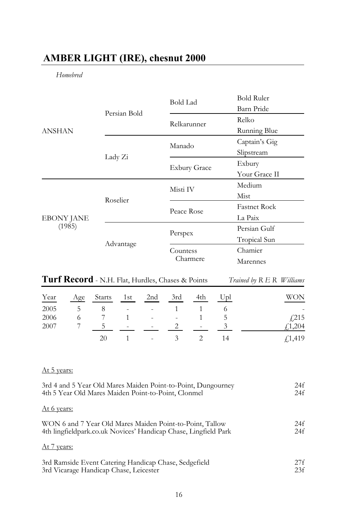# **AMBER LIGHT (IRE), chesnut 2000**

# *Homebred*

|                             |              | <b>Bold Lad</b>     | Bold Ruler          |
|-----------------------------|--------------|---------------------|---------------------|
| <b>ANSHAN</b>               | Persian Bold |                     | Barn Pride          |
|                             |              | Relkarunner         | Relko               |
|                             |              |                     | Running Blue        |
|                             |              | Manado              | Captain's Gig       |
|                             | Lady Zi      |                     | Slipstream          |
|                             |              | <b>Exbury Grace</b> | Exbury              |
|                             |              |                     | Your Grace II       |
| <b>EBONY JANE</b><br>(1985) |              | Misti IV            | Medium              |
|                             | Roselier     |                     | Mist                |
|                             |              | Peace Rose          | <b>Fastnet Rock</b> |
|                             |              |                     | La Paix             |
|                             | Advantage    | Perspex             | Persian Gulf        |
|                             |              |                     | Tropical Sun        |
|                             |              | Countess            | Chamier             |
|                             |              | Charmere            | Marennes            |

| Turf Record - N.H. Flat, Hurdles, Chases & Points | Trained by R E R Williams |  |
|---------------------------------------------------|---------------------------|--|
|---------------------------------------------------|---------------------------|--|

| Year | Age | Starts | 1st                      | 2nd                      | 3rd | 4th    | Upl | WON    |
|------|-----|--------|--------------------------|--------------------------|-----|--------|-----|--------|
| 2005 | ↖   | 8      | $\overline{\phantom{a}}$ | $\sim$                   |     |        |     | ٠      |
| 2006 |     |        |                          | $\sim$                   | ٠   |        | C   | f(215) |
| 2007 |     |        | $\overline{\phantom{a}}$ | $\sim$                   |     | $\sim$ |     | f1,204 |
|      |     | 20     |                          | $\overline{\phantom{a}}$ |     |        |     | f1,419 |

## At 5 years:

| 3rd 4 and 5 Year Old Mares Maiden Point-to-Point, Dungourney    | 24f |
|-----------------------------------------------------------------|-----|
| 4th 5 Year Old Mares Maiden Point-to-Point, Clonmel             | 24f |
| At 6 years:                                                     |     |
| WON 6 and 7 Year Old Mares Maiden Point-to-Point, Tallow        | 24f |
| 4th lingfieldpark.co.uk Novices' Handicap Chase, Lingfield Park | 24f |
| At 7 years:                                                     |     |
| 3rd Ramside Event Catering Handicap Chase, Sedgefield           | 27f |
| 3rd Vicarage Handicap Chase, Leicester                          | 23f |